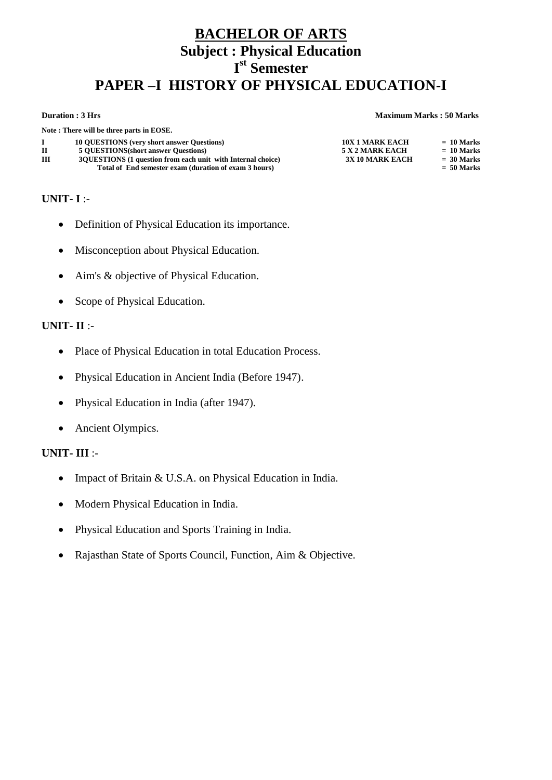# **BACHELOR OF ARTS Subject : Physical Education I st Semester PAPER –I HISTORY OF PHYSICAL EDUCATION-I**

### **Duration : 3 Hrs Maximum Marks : 50 Marks**

|              | Note: There will be three parts in EOSE.                      |                        |              |
|--------------|---------------------------------------------------------------|------------------------|--------------|
|              | <b>10 OUESTIONS</b> (very short answer Questions)             | <b>10X 1 MARK EACH</b> | $= 10$ Marks |
| $\mathbf{H}$ | <b>5 OUESTIONS</b> (short answer Questions)                   | 5 X 2 MARK EACH        | $= 10$ Marks |
| Ш            | 30 JUESTIONS (1 question from each unit with Internal choice) | <b>3X 10 MARK EACH</b> | $= 30$ Marks |
|              | Total of End semester exam (duration of exam 3 hours)         |                        | $= 50$ Marks |

## **UNIT- I** :-

- Definition of Physical Education its importance.
- Misconception about Physical Education.
- Aim's & objective of Physical Education.
- Scope of Physical Education.

## **UNIT- II** :-

- Place of Physical Education in total Education Process.
- Physical Education in Ancient India (Before 1947).
- Physical Education in India (after 1947).
- Ancient Olympics.

- Impact of Britain & U.S.A. on Physical Education in India.
- Modern Physical Education in India.
- Physical Education and Sports Training in India.
- Rajasthan State of Sports Council, Function, Aim & Objective.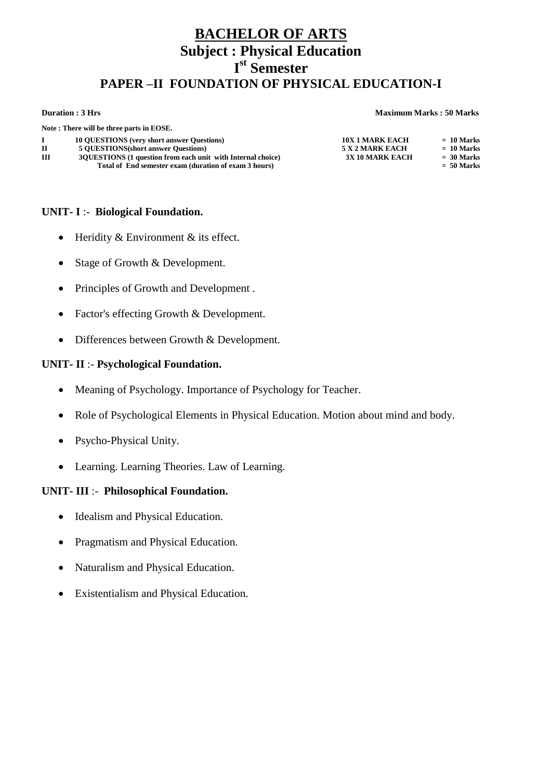# **BACHELOR OF ARTS Subject : Physical Education I st Semester PAPER –II FOUNDATION OF PHYSICAL EDUCATION-I**

### **Duration : 3 Hrs Maximum Marks : 50 Marks**

|   | Note: There will be three parts in EOSE.                      |                        |              |
|---|---------------------------------------------------------------|------------------------|--------------|
|   | <b>10 OUESTIONS</b> (very short answer Questions)             | <b>10X 1 MARK EACH</b> | $= 10$ Marks |
|   | <b>5 OUESTIONS(short answer Questions)</b>                    | 5 X 2 MARK EACH        | $= 10$ Marks |
| Ш | 30 JUESTIONS (1 question from each unit with Internal choice) | <b>3X 10 MARK EACH</b> | $= 30$ Marks |
|   | Total of End semester exam (duration of exam 3 hours)         |                        | $= 50$ Marks |

## **UNIT- I** :- **Biological Foundation.**

- $\bullet$  Heridity & Environment & its effect.
- Stage of Growth & Development.
- Principles of Growth and Development.
- Factor's effecting Growth & Development.
- Differences between Growth & Development.

## **UNIT- II** :- **Psychological Foundation.**

- Meaning of Psychology. Importance of Psychology for Teacher.
- Role of Psychological Elements in Physical Education. Motion about mind and body.
- Psycho-Physical Unity.
- Learning. Learning Theories. Law of Learning.

## **UNIT- III** :- **Philosophical Foundation.**

- Idealism and Physical Education.
- Pragmatism and Physical Education.
- Naturalism and Physical Education.
- Existentialism and Physical Education.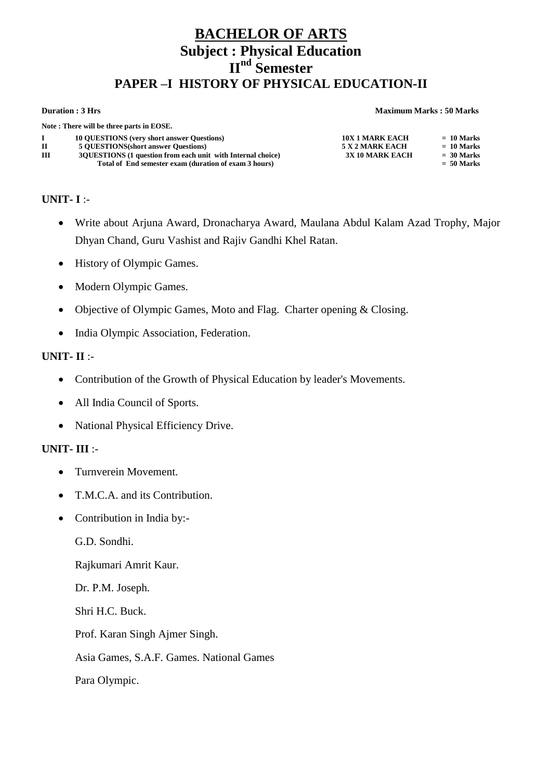# **BACHELOR OF ARTS Subject : Physical Education II nd Semester PAPER –I HISTORY OF PHYSICAL EDUCATION-II**

### **Duration : 3 Hrs Maximum Marks : 50 Marks**

|   | Note: There will be three parts in EOSE.                      |                        |              |  |
|---|---------------------------------------------------------------|------------------------|--------------|--|
|   | <b>10 OUESTIONS</b> (very short answer Questions)             | <b>10X 1 MARK EACH</b> | $= 10$ Marks |  |
| п | <b>5 OUESTIONS</b> (short answer Questions)                   | 5 X 2 MARK EACH        | $= 10$ Marks |  |
| ш | 30 JUESTIONS (1 question from each unit with Internal choice) | 3X 10 MARK EACH        | $=$ 30 Marks |  |
|   | Total of End semester exam (duration of exam 3 hours)         |                        | $= 50$ Marks |  |

**UNIT- I** :-

- Write about Arjuna Award, Dronacharya Award, Maulana Abdul Kalam Azad Trophy, Major Dhyan Chand, Guru Vashist and Rajiv Gandhi Khel Ratan.
- History of Olympic Games.
- Modern Olympic Games.
- Objective of Olympic Games, Moto and Flag. Charter opening & Closing.
- India Olympic Association, Federation.

## **UNIT- II** :-

- Contribution of the Growth of Physical Education by leader's Movements.
- All India Council of Sports.
- National Physical Efficiency Drive.

## **UNIT- III** :-

- Turnverein Movement.
- T.M.C.A. and its Contribution.
- Contribution in India by:-

G.D. Sondhi.

Rajkumari Amrit Kaur.

Dr. P.M. Joseph.

Shri H.C. Buck.

Prof. Karan Singh Ajmer Singh.

Asia Games, S.A.F. Games. National Games

Para Olympic.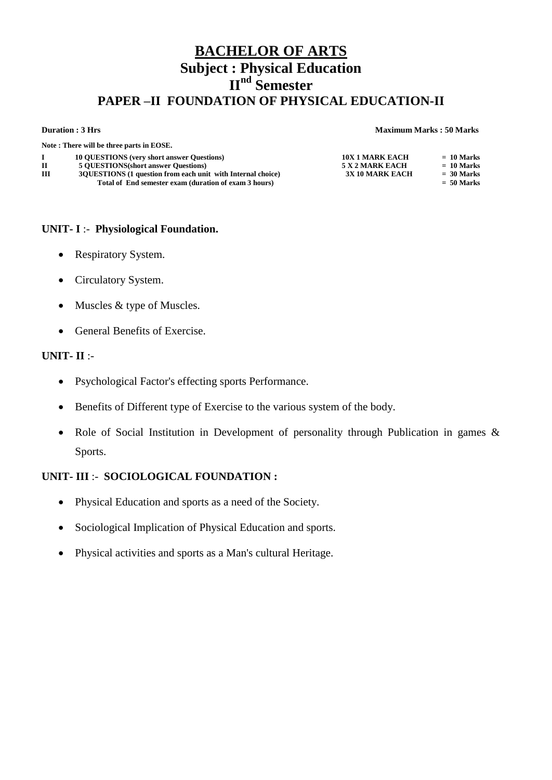# **BACHELOR OF ARTS Subject : Physical Education II nd Semester PAPER –II FOUNDATION OF PHYSICAL EDUCATION-II**

### **Duration : 3 Hrs Maximum Marks : 50 Marks**

|             | Note: There will be three parts in EOSE.                                                                             |                        |                              |
|-------------|----------------------------------------------------------------------------------------------------------------------|------------------------|------------------------------|
|             | <b>10 OUESTIONS</b> (very short answer Questions)                                                                    | <b>10X 1 MARK EACH</b> | $= 10$ Marks                 |
| $\mathbf H$ | <b>5 OUESTIONS</b> (short answer Questions)                                                                          | 5 X 2 MARK EACH        | $= 10$ Marks                 |
| Ш           | 3QUESTIONS (1 question from each unit with Internal choice)<br>Total of End semester exam (duration of exam 3 hours) | <b>3X 10 MARK EACH</b> | $=$ 30 Marks<br>$= 50$ Marks |

## **UNIT- I** :- **Physiological Foundation.**

- Respiratory System.
- Circulatory System.
- Muscles & type of Muscles.
- General Benefits of Exercise.

## **UNIT- II** :-

- Psychological Factor's effecting sports Performance.
- Benefits of Different type of Exercise to the various system of the body.
- Role of Social Institution in Development of personality through Publication in games & Sports.

## **UNIT- III** :- **SOCIOLOGICAL FOUNDATION :**

- Physical Education and sports as a need of the Society.
- Sociological Implication of Physical Education and sports.
- Physical activities and sports as a Man's cultural Heritage.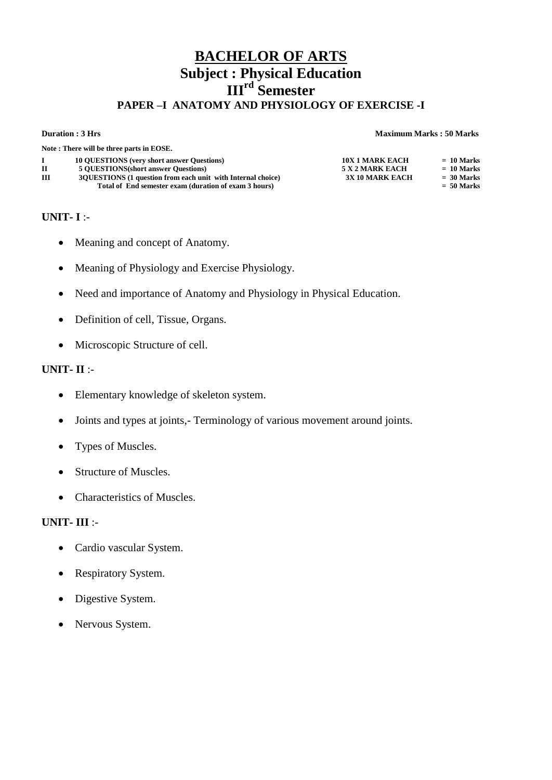# **BACHELOR OF ARTS Subject : Physical Education III rd Semester PAPER –I ANATOMY AND PHYSIOLOGY OF EXERCISE -I**

### **Duration : 3 Hrs Maximum Marks : 50 Marks**

|   | Note: There will be three parts in EOSE.                      |                        |              |
|---|---------------------------------------------------------------|------------------------|--------------|
|   | <b>10 OUESTIONS</b> (very short answer Questions)             | <b>10X 1 MARK EACH</b> | $= 10$ Marks |
| П | <b>5 OUESTIONS</b> (short answer Questions)                   | 5 X 2 MARK EACH        | $= 10$ Marks |
| Ш | 30 JUESTIONS (1 question from each unit with Internal choice) | 3X 10 MARK EACH        | $= 30$ Marks |
|   | Total of End semester exam (duration of exam 3 hours)         |                        | $= 50$ Marks |

## **UNIT- I** :-

- Meaning and concept of Anatomy.
- Meaning of Physiology and Exercise Physiology.
- Need and importance of Anatomy and Physiology in Physical Education.
- Definition of cell, Tissue, Organs.
- Microscopic Structure of cell.

## **UNIT- II** :-

- Elementary knowledge of skeleton system.
- Joints and types at joints,- Terminology of various movement around joints.
- Types of Muscles.
- Structure of Muscles.
- Characteristics of Muscles.

- Cardio vascular System.
- Respiratory System.
- Digestive System.
- Nervous System.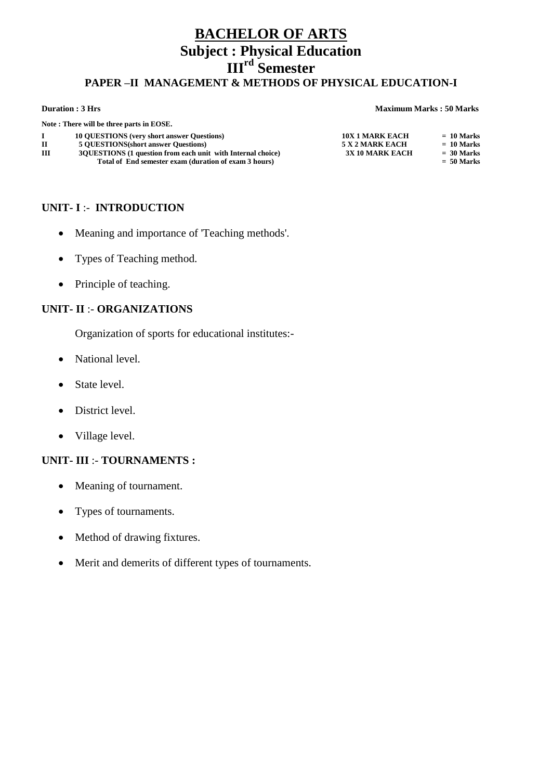# **BACHELOR OF ARTS Subject : Physical Education IIIrd Semester PAPER –II MANAGEMENT & METHODS OF PHYSICAL EDUCATION-I**

### **Duration : 3 Hrs Maximum Marks : 50 Marks**

|   | Note: There will be three parts in EOSE.                                                                               |                        |                              |
|---|------------------------------------------------------------------------------------------------------------------------|------------------------|------------------------------|
|   | <b>10 OUESTIONS</b> (very short answer Questions)                                                                      | <b>10X 1 MARK EACH</b> | $= 10$ Marks                 |
| п | <b>5 OUESTIONS</b> (short answer Questions)                                                                            | 5 X 2 MARK EACH        | $= 10$ Marks                 |
| Ш | 30 JUESTIONS (1 question from each unit with Internal choice)<br>Total of End semester exam (duration of exam 3 hours) | 3X 10 MARK EACH        | $= 30$ Marks<br>$= 50$ Marks |
|   |                                                                                                                        |                        |                              |

## **UNIT- I** :- **INTRODUCTION**

- Meaning and importance of 'Teaching methods'.
- Types of Teaching method.
- Principle of teaching.

## **UNIT- II** :- **ORGANIZATIONS**

Organization of sports for educational institutes:-

- National level.
- State level.
- District level.
- Village level.

## **UNIT- III** :- **TOURNAMENTS :**

- Meaning of tournament.
- Types of tournaments.
- Method of drawing fixtures.
- Merit and demerits of different types of tournaments.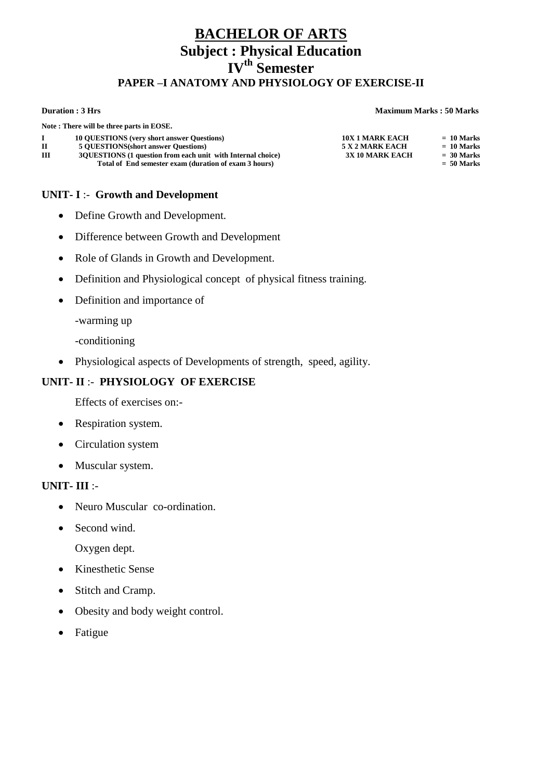# **BACHELOR OF ARTS Subject : Physical Education IV th Semester PAPER –I ANATOMY AND PHYSIOLOGY OF EXERCISE-II**

### **Duration : 3 Hrs Maximum Marks : 50 Marks**

|             | Note: There will be three parts in EOSE.                      |                        |              |
|-------------|---------------------------------------------------------------|------------------------|--------------|
|             | <b>10 OUESTIONS</b> (very short answer Questions)             | <b>10X 1 MARK EACH</b> | $= 10$ Marks |
| $\mathbf H$ | <b>5 OUESTIONS</b> (short answer Questions)                   | 5 X 2 MARK EACH        | $= 10$ Marks |
| Ш           | 30 JUESTIONS (1 question from each unit with Internal choice) | <b>3X 10 MARK EACH</b> | $= 30$ Marks |
|             | Total of End semester exam (duration of exam 3 hours)         |                        | $= 50$ Marks |

## **UNIT- I** :- **Growth and Development**

- Define Growth and Development.
- Difference between Growth and Development
- Role of Glands in Growth and Development.
- Definition and Physiological concept of physical fitness training.
- Definition and importance of
	- -warming up
	- -conditioning
- Physiological aspects of Developments of strength, speed, agility.

## **UNIT- II** :- **PHYSIOLOGY OF EXERCISE**

Effects of exercises on:-

- Respiration system.
- Circulation system
- Muscular system.

## **UNIT- III** :-

- Neuro Muscular co-ordination.
- Second wind.

Oxygen dept.

- Kinesthetic Sense
- Stitch and Cramp.
- Obesity and body weight control.
- Fatigue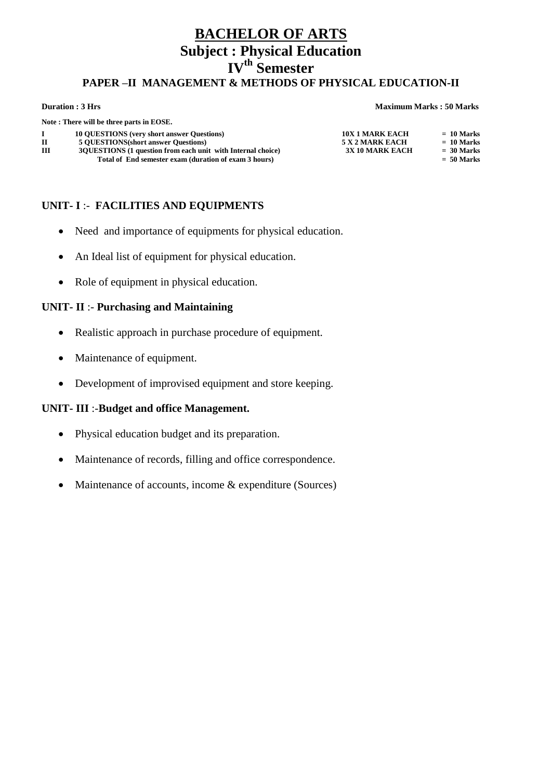# **BHELOR OF ARTS Subject : Physical Education IV th Semester PAPER –II MANAGEMENT & METHODS OF PHYSICAL EDUCATION-II**

### **Duration : 3 Hrs Maximum Marks : 50 Marks**

|     | Note: There will be three parts in EOSE.                      |                        |              |
|-----|---------------------------------------------------------------|------------------------|--------------|
| . п | <b>10 OUESTIONS</b> (very short answer Questions)             | <b>10X 1 MARK EACH</b> | $= 10$ Marks |
| П   | <b>5 OUESTIONS(short answer Questions)</b>                    | 5 X 2 MARK EACH        | $= 10$ Marks |
| Ш   | 30 JUESTIONS (1 question from each unit with Internal choice) | <b>3X 10 MARK EACH</b> | $= 30$ Marks |
|     | Total of End semester exam (duration of exam 3 hours)         |                        | $= 50$ Marks |
|     |                                                               |                        |              |

## **UNIT- I** :- **FACILITIES AND EQUIPMENTS**

- Need and importance of equipments for physical education.
- An Ideal list of equipment for physical education.
- Role of equipment in physical education.

## **UNIT- II** :- **Purchasing and Maintaining**

- Realistic approach in purchase procedure of equipment.
- Maintenance of equipment.
- Development of improvised equipment and store keeping.

## **UNIT- III** :-**Budget and office Management.**

- Physical education budget and its preparation.
- Maintenance of records, filling and office correspondence.
- Maintenance of accounts, income & expenditure (Sources)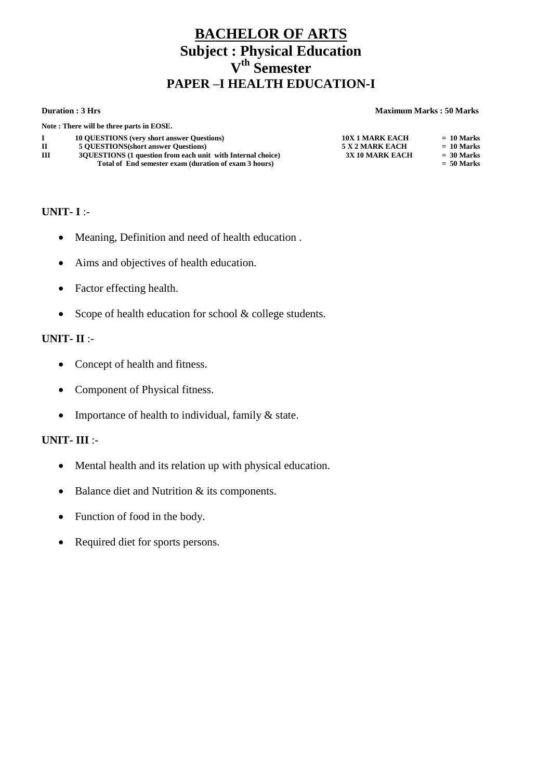# **BACHELOR OF ARTS Subject : Physical Education V th Semester PAPER –I HEALTH EDUCATION-I**

### **Duration : 3 Hrs Maximum Marks : 50 Marks**

| Note: There will be three parts in EOSE.                                              |              |
|---------------------------------------------------------------------------------------|--------------|
| <b>10 OUESTIONS</b> (very short answer Questions)<br><b>10X 1 MARK EACH</b>           | $= 10$ Marks |
| <b>5 OUESTIONS</b> (short answer Questions)<br>5 X 2 MARK EACH<br>П                   | $= 10$ Marks |
| ш<br>30 JUESTIONS (1 question from each unit with Internal choice)<br>3X 10 MARK EACH | $= 30$ Marks |
| Total of End semester exam (duration of exam 3 hours)                                 | $= 50$ Marks |

## **UNIT- I** :-

- Meaning, Definition and need of health education .
- Aims and objectives of health education.
- Factor effecting health.
- Scope of health education for school  $&$  college students.

## **UNIT- II** :-

- Concept of health and fitness.
- Component of Physical fitness.
- Importance of health to individual, family  $&$  state.

- Mental health and its relation up with physical education.
- Balance diet and Nutrition & its components.
- Function of food in the body.
- Required diet for sports persons.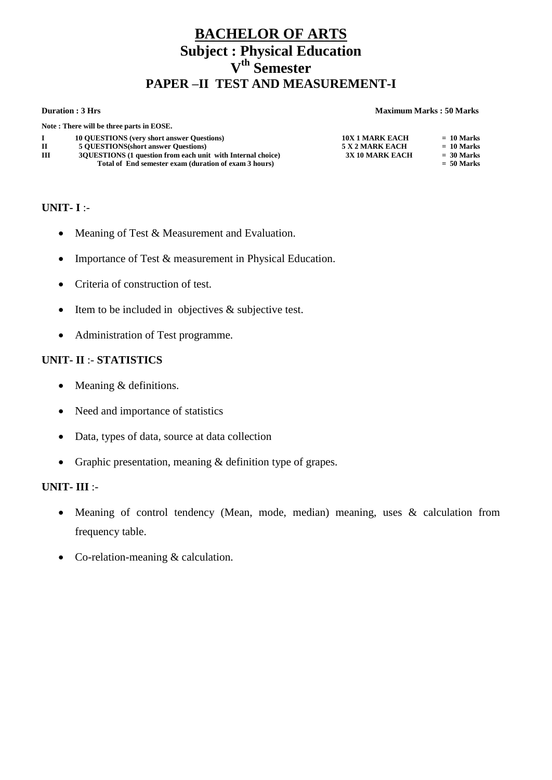# **BACHELOR OF ARTS Subject : Physical Education V th Semester PAPER –II TEST AND MEASUREMENT-I**

### **Duration : 3 Hrs Maximum Marks : 50 Marks**

| $= 10$ Marks                 |
|------------------------------|
| $= 10$ Marks                 |
| $= 30$ Marks<br>$= 50$ Marks |
|                              |

## **UNIT- I** :-

- Meaning of Test & Measurement and Evaluation.
- Importance of Test & measurement in Physical Education.
- Criteria of construction of test.
- $\bullet$  Item to be included in objectives & subjective test.
- Administration of Test programme.

## **UNIT- II** :- **STATISTICS**

- $\bullet$  Meaning & definitions.
- Need and importance of statistics
- Data, types of data, source at data collection
- Graphic presentation, meaning & definition type of grapes.

- Meaning of control tendency (Mean, mode, median) meaning, uses & calculation from frequency table.
- Co-relation-meaning & calculation.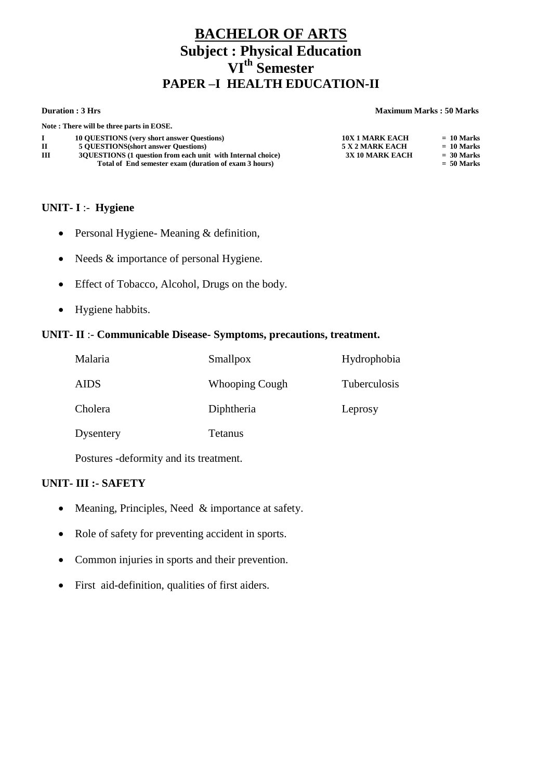# **BACHELOR OF ARTS Subject : Physical Education VI th Semester PAPER –I HEALTH EDUCATION-II**

### **Duration : 3 Hrs Maximum Marks : 50 Marks**

|   | Note: There will be three parts in EOSE.                      |                        |              |
|---|---------------------------------------------------------------|------------------------|--------------|
|   | <b>10 OUESTIONS</b> (very short answer Questions)             | <b>10X 1 MARK EACH</b> | $= 10$ Marks |
|   | <b>5 OUESTIONS</b> (short answer Questions)                   | 5 X 2 MARK EACH        | $= 10$ Marks |
| Ш | 30 JUESTIONS (1 question from each unit with Internal choice) | <b>3X 10 MARK EACH</b> | $=$ 30 Marks |
|   | Total of End semester exam (duration of exam 3 hours)         |                        | $= 50$ Marks |

## **UNIT- I** :- **Hygiene**

- Personal Hygiene- Meaning & definition,
- Needs & importance of personal Hygiene.
- Effect of Tobacco, Alcohol, Drugs on the body.
- Hygiene habbits.

## **UNIT- II** :- **Communicable Disease- Symptoms, precautions, treatment.**

| Malaria     | Smallpox              | Hydrophobia  |
|-------------|-----------------------|--------------|
| <b>AIDS</b> | <b>Whooping Cough</b> | Tuberculosis |
| Cholera     | Diphtheria            | Leprosy      |
| Dysentery   | <b>Tetanus</b>        |              |

Postures -deformity and its treatment.

## **UNIT- III :- SAFETY**

- Meaning, Principles, Need & importance at safety.
- Role of safety for preventing accident in sports.
- Common injuries in sports and their prevention.
- First aid-definition, qualities of first aiders.